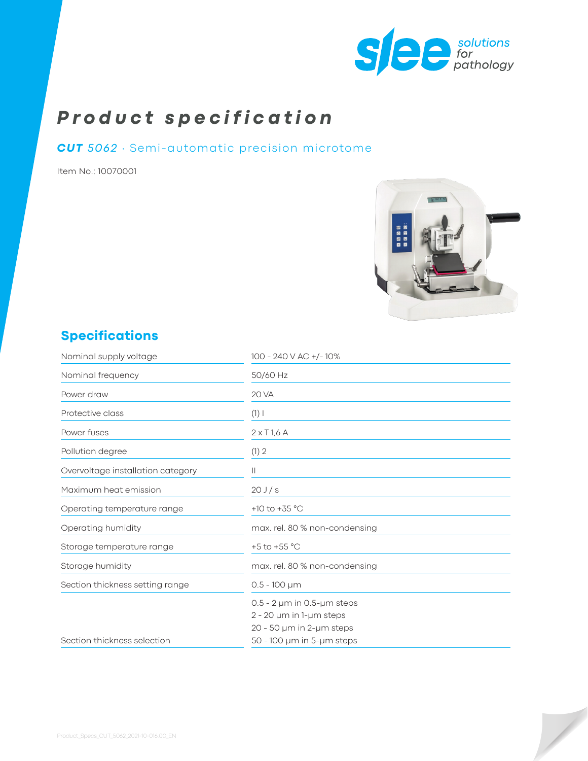

# *Product specification*

#### *CUT 5062* ∙ Semi-automatic precision microtome

Item No.: 10070001



## **Specifications**

| Nominal supply voltage            | 100 - 240 V AC +/-10%                 |
|-----------------------------------|---------------------------------------|
| Nominal frequency                 | 50/60 Hz                              |
| Power draw                        | <b>20 VA</b>                          |
| Protective class                  | $(1)$                                 |
| Power fuses                       | $2 \times$ T <sub>1,6</sub> A         |
| Pollution degree                  | (1) 2                                 |
| Overvoltage installation category | Ш                                     |
| Maximum heat emission             | 20J/s                                 |
| Operating temperature range       | +10 to +35 $^{\circ}$ C               |
| Operating humidity                | max. rel. 80 % non-condensing         |
| Storage temperature range         | +5 to +55 $^{\circ}$ C                |
| Storage humidity                  | max. rel. 80 % non-condensing         |
| Section thickness setting range   | $0.5 - 100 \mu m$                     |
|                                   | $0.5 - 2 \mu m$ in 0.5- $\mu$ m steps |
|                                   | $2 - 20$ µm in 1-µm steps             |
|                                   | 20 - 50 µm in 2-µm steps              |
| Section thickness selection       | 50 - 100 µm in 5-µm steps             |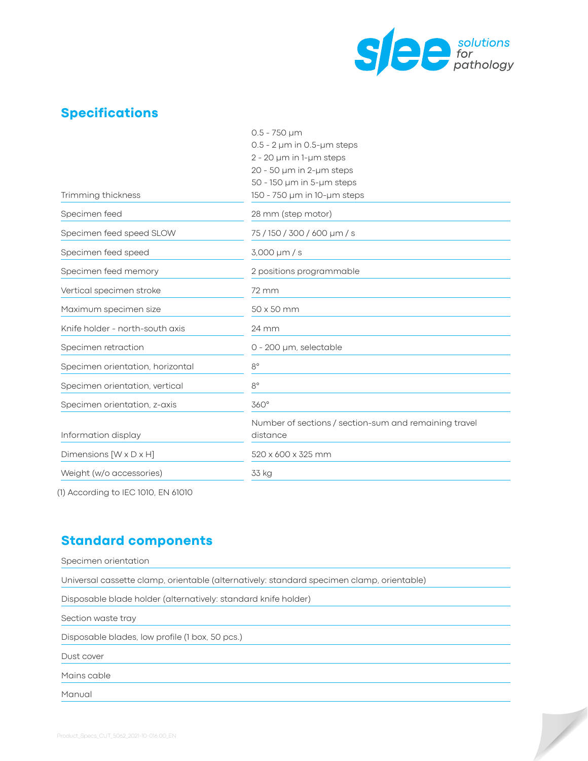

 $\overline{\phantom{a}}$ 

### **Specifications**

|                                  | $0.5 - 750 \mu m$                                     |
|----------------------------------|-------------------------------------------------------|
|                                  | $0.5$ - $2 \mu m$ in 0.5- $\mu m$ steps               |
|                                  | $2 - 20$ µm in 1-µm steps                             |
|                                  | 20 - 50 µm in 2-µm steps                              |
|                                  | 50 - 150 µm in 5-µm steps                             |
| Trimming thickness               | 150 - 750 µm in 10-µm steps                           |
| Specimen feed                    | 28 mm (step motor)                                    |
| Specimen feed speed SLOW         | 75/150/300/600 µm/s                                   |
| Specimen feed speed              | $3,000 \mu m/s$                                       |
| Specimen feed memory             | 2 positions programmable                              |
| Vertical specimen stroke         | 72 mm                                                 |
| Maximum specimen size            | 50 x 50 mm                                            |
| Knife holder - north-south axis  | 24 mm                                                 |
| Specimen retraction              | 0 - 200 µm, selectable                                |
| Specimen orientation, horizontal | $8^{\circ}$                                           |
| Specimen orientation, vertical   | $8^{\circ}$                                           |
| Specimen orientation, z-axis     | 360°                                                  |
|                                  | Number of sections / section-sum and remaining travel |
| Information display              | distance                                              |
| Dimensions [W x D x H]           | 520 x 600 x 325 mm                                    |
| Weight (w/o accessories)         | 33 kg                                                 |
|                                  |                                                       |

(1) According to IEC 1010, EN 61010

#### **Standard components**

| Specimen orientation                                                                      |
|-------------------------------------------------------------------------------------------|
| Universal cassette clamp, orientable (alternatively: standard specimen clamp, orientable) |
| Disposable blade holder (alternatively: standard knife holder)                            |
| Section waste tray                                                                        |
| Disposable blades, low profile (1 box, 50 pcs.)                                           |
| Dust cover                                                                                |
| Mains cable                                                                               |
| Manual                                                                                    |
|                                                                                           |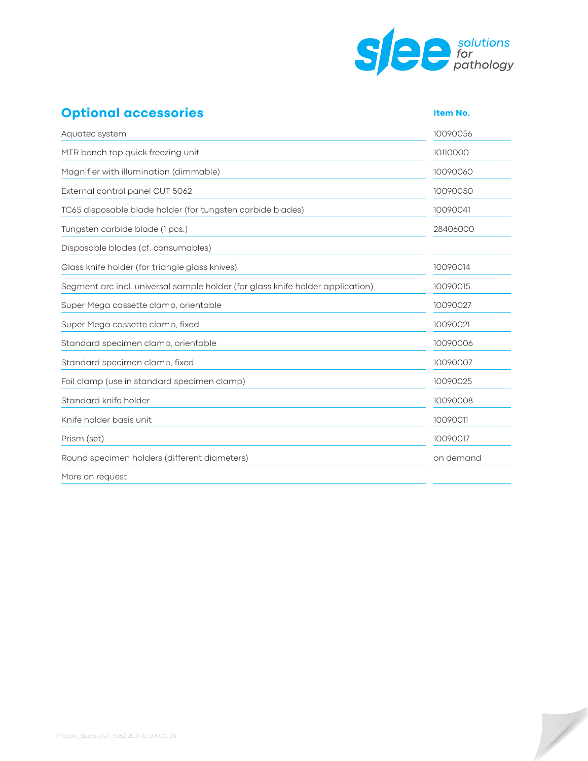

 $\overline{\phantom{a}}$ 

# **Optional accessories Integral 2016 Item No.**

| Aquatec system                                                                 | 10090056  |
|--------------------------------------------------------------------------------|-----------|
| MTR bench top quick freezing unit                                              | 10110000  |
| Magnifier with illumination (dimmable)                                         | 10090060  |
| External control panel CUT 5062                                                | 10090050  |
| TC65 disposable blade holder (for tungsten carbide blades)                     | 10090041  |
| Tungsten carbide blade (1 pcs.)                                                | 28406000  |
| Disposable blades (cf. consumables)                                            |           |
| Glass knife holder (for triangle glass knives)                                 | 10090014  |
| Segment arc incl. universal sample holder (for glass knife holder application) | 10090015  |
| Super Mega cassette clamp, orientable                                          | 10090027  |
| Super Mega cassette clamp, fixed                                               | 10090021  |
| Standard specimen clamp, orientable                                            | 10090006  |
| Standard specimen clamp, fixed                                                 | 10090007  |
| Foil clamp (use in standard specimen clamp)                                    | 10090025  |
| Standard knife holder                                                          | 10090008  |
| Knife holder basis unit                                                        | 10090011  |
| Prism (set)                                                                    | 10090017  |
| Round specimen holders (different diameters)                                   | on demand |
| More on request                                                                |           |